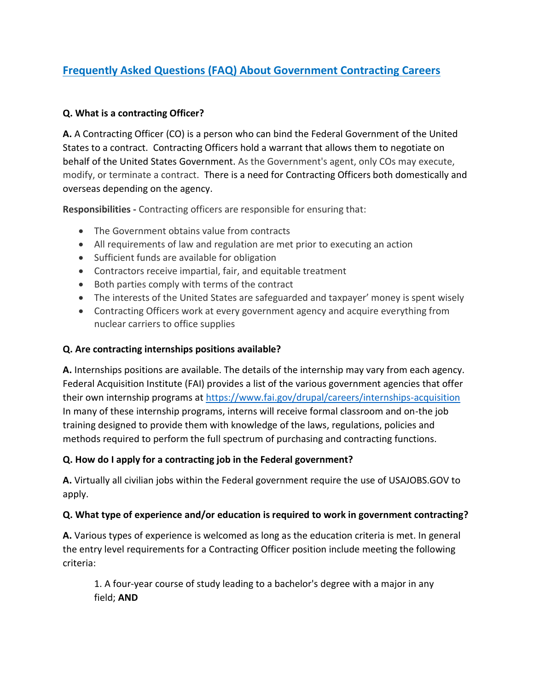# **Frequently Asked Questions (FAQ) About Government Contracting Careers**

#### **Q. What is a contracting Officer?**

**A.** A Contracting Officer (CO) is a person who can bind the Federal Government of the United States to a contract. Contracting Officers hold a warrant that allows them to negotiate on behalf of the United States Government. As the Government's agent, only COs may execute, modify, or terminate a contract. There is a need for Contracting Officers both domestically and overseas depending on the agency.

**Responsibilities -** Contracting officers are responsible for ensuring that:

- The Government obtains value from contracts
- All requirements of law and regulation are met prior to executing an action
- Sufficient funds are available for obligation
- Contractors receive impartial, fair, and equitable treatment
- Both parties comply with terms of the contract
- The interests of the United States are safeguarded and taxpayer' money is spent wisely
- Contracting Officers work at every government agency and acquire everything from nuclear carriers to office supplies

#### **Q. Are contracting internships positions available?**

**A.** Internships positions are available. The details of the internship may vary from each agency. Federal Acquisition Institute (FAI) provides a list of the various government agencies that offer their own internship programs at<https://www.fai.gov/drupal/careers/internships-acquisition> In many of these internship programs, interns will receive formal classroom and on-the job training designed to provide them with knowledge of the laws, regulations, policies and methods required to perform the full spectrum of purchasing and contracting functions.

## **Q. How do I apply for a contracting job in the Federal government?**

**A.** Virtually all civilian jobs within the Federal government require the use of USAJOBS.GOV to apply.

#### **Q. What type of experience and/or education is required to work in government contracting?**

**A.** Various types of experience is welcomed as long as the education criteria is met. In general the entry level requirements for a Contracting Officer position include meeting the following criteria:

1. A four-year course of study leading to a bachelor's degree with a major in any field; **AND**